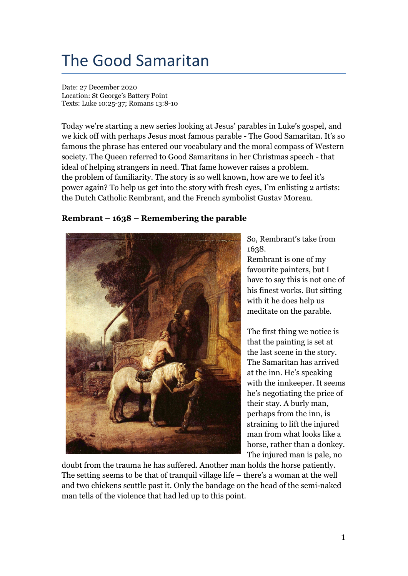## The Good Samaritan

Date: 27 December 2020 Location: St George's Battery Point Texts: Luke 10:25-37; Romans 13:8-10

Today we're starting a new series looking at Jesus' parables in Luke's gospel, and we kick off with perhaps Jesus most famous parable - The Good Samaritan. It's so famous the phrase has entered our vocabulary and the moral compass of Western society. The Queen referred to Good Samaritans in her Christmas speech - that ideal of helping strangers in need. That fame however raises a problem. the problem of familiarity. The story is so well known, how are we to feel it's power again? To help us get into the story with fresh eyes, I'm enlisting 2 artists: the Dutch Catholic Rembrant, and the French symbolist Gustav Moreau.

## **Rembrant – 1638 – Remembering the parable**



So, Rembrant's take from 1638.

Rembrant is one of my favourite painters, but I have to say this is not one of his finest works. But sitting with it he does help us meditate on the parable.

The first thing we notice is that the painting is set at the last scene in the story. The Samaritan has arrived at the inn. He's speaking with the innkeeper. It seems he's negotiating the price of their stay. A burly man, perhaps from the inn, is straining to lift the injured man from what looks like a horse, rather than a donkey. The injured man is pale, no

doubt from the trauma he has suffered. Another man holds the horse patiently. The setting seems to be that of tranquil village life – there's a woman at the well and two chickens scuttle past it. Only the bandage on the head of the semi-naked man tells of the violence that had led up to this point.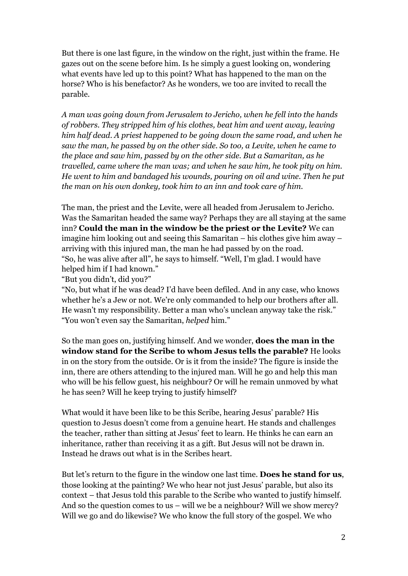But there is one last figure, in the window on the right, just within the frame. He gazes out on the scene before him. Is he simply a guest looking on, wondering what events have led up to this point? What has happened to the man on the horse? Who is his benefactor? As he wonders, we too are invited to recall the parable.

*A man was going down from Jerusalem to Jericho, when he fell into the hands of robbers. They stripped him of his clothes, beat him and went away, leaving him half dead. A priest happened to be going down the same road, and when he saw the man, he passed by on the other side. So too, a Levite, when he came to the place and saw him, passed by on the other side. But a Samaritan, as he travelled, came where the man was; and when he saw him, he took pity on him. He went to him and bandaged his wounds, pouring on oil and wine. Then he put the man on his own donkey, took him to an inn and took care of him.*

The man, the priest and the Levite, were all headed from Jerusalem to Jericho. Was the Samaritan headed the same way? Perhaps they are all staying at the same inn? **Could the man in the window be the priest or the Levite?** We can imagine him looking out and seeing this Samaritan – his clothes give him away – arriving with this injured man, the man he had passed by on the road. "So, he was alive after all", he says to himself. "Well, I'm glad. I would have helped him if I had known."

"But you didn't, did you?"

"No, but what if he was dead? I'd have been defiled. And in any case, who knows whether he's a Jew or not. We're only commanded to help our brothers after all. He wasn't my responsibility. Better a man who's unclean anyway take the risk." "You won't even say the Samaritan, *helped* him."

So the man goes on, justifying himself. And we wonder, **does the man in the window stand for the Scribe to whom Jesus tells the parable?** He looks in on the story from the outside. Or is it from the inside? The figure is inside the inn, there are others attending to the injured man. Will he go and help this man who will be his fellow guest, his neighbour? Or will he remain unmoved by what he has seen? Will he keep trying to justify himself?

What would it have been like to be this Scribe, hearing Jesus' parable? His question to Jesus doesn't come from a genuine heart. He stands and challenges the teacher, rather than sitting at Jesus' feet to learn. He thinks he can earn an inheritance, rather than receiving it as a gift. But Jesus will not be drawn in. Instead he draws out what is in the Scribes heart.

But let's return to the figure in the window one last time. **Does he stand for us**, those looking at the painting? We who hear not just Jesus' parable, but also its context – that Jesus told this parable to the Scribe who wanted to justify himself. And so the question comes to us – will we be a neighbour? Will we show mercy? Will we go and do likewise? We who know the full story of the gospel. We who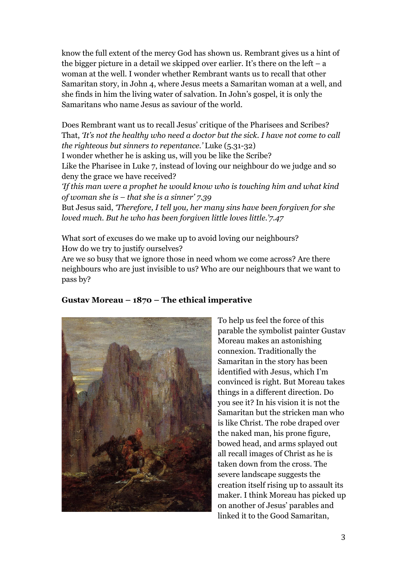know the full extent of the mercy God has shown us. Rembrant gives us a hint of the bigger picture in a detail we skipped over earlier. It's there on the left – a woman at the well. I wonder whether Rembrant wants us to recall that other Samaritan story, in John 4, where Jesus meets a Samaritan woman at a well, and she finds in him the living water of salvation. In John's gospel, it is only the Samaritans who name Jesus as saviour of the world.

Does Rembrant want us to recall Jesus' critique of the Pharisees and Scribes? That, *'It's not the healthy who need a doctor but the sick. I have not come to call the righteous but sinners to repentance.'* Luke (5.31-32)

I wonder whether he is asking us, will you be like the Scribe?

Like the Pharisee in Luke 7, instead of loving our neighbour do we judge and so deny the grace we have received?

*'If this man were a prophet he would know who is touching him and what kind of woman she is – that she is a sinner' 7.39*

But Jesus said, *'Therefore, I tell you, her many sins have been forgiven for she loved much. But he who has been forgiven little loves little.'7.47*

What sort of excuses do we make up to avoid loving our neighbours? How do we try to justify ourselves?

Are we so busy that we ignore those in need whom we come across? Are there neighbours who are just invisible to us? Who are our neighbours that we want to pass by?



## **Gustav Moreau – 1870 – The ethical imperative**

To help us feel the force of this parable the symbolist painter Gustav Moreau makes an astonishing connexion. Traditionally the Samaritan in the story has been identified with Jesus, which I'm convinced is right. But Moreau takes things in a different direction. Do you see it? In his vision it is not the Samaritan but the stricken man who is like Christ. The robe draped over the naked man, his prone figure, bowed head, and arms splayed out all recall images of Christ as he is taken down from the cross. The severe landscape suggests the creation itself rising up to assault its maker. I think Moreau has picked up on another of Jesus' parables and linked it to the Good Samaritan,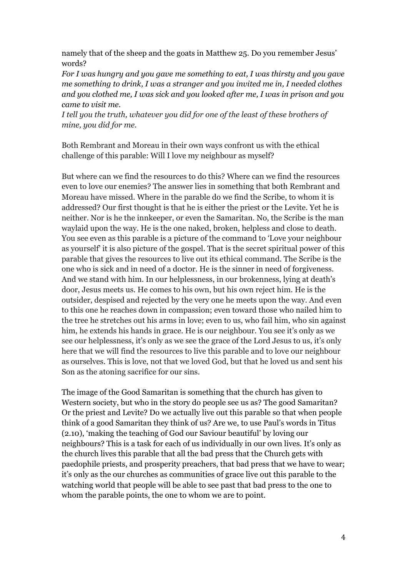namely that of the sheep and the goats in Matthew 25. Do you remember Jesus' words?

*For I was hungry and you gave me something to eat, I was thirsty and you gave me something to drink, I was a stranger and you invited me in, I needed clothes and you clothed me, I was sick and you looked after me, I was in prison and you came to visit me.*

*I tell you the truth, whatever you did for one of the least of these brothers of mine, you did for me.*

Both Rembrant and Moreau in their own ways confront us with the ethical challenge of this parable: Will I love my neighbour as myself?

But where can we find the resources to do this? Where can we find the resources even to love our enemies? The answer lies in something that both Rembrant and Moreau have missed. Where in the parable do we find the Scribe, to whom it is addressed? Our first thought is that he is either the priest or the Levite. Yet he is neither. Nor is he the innkeeper, or even the Samaritan. No, the Scribe is the man waylaid upon the way. He is the one naked, broken, helpless and close to death. You see even as this parable is a picture of the command to 'Love your neighbour as yourself' it is also picture of the gospel. That is the secret spiritual power of this parable that gives the resources to live out its ethical command. The Scribe is the one who is sick and in need of a doctor. He is the sinner in need of forgiveness. And we stand with him. In our helplessness, in our brokenness, lying at death's door, Jesus meets us. He comes to his own, but his own reject him. He is the outsider, despised and rejected by the very one he meets upon the way. And even to this one he reaches down in compassion; even toward those who nailed him to the tree he stretches out his arms in love; even to us, who fail him, who sin against him, he extends his hands in grace. He is our neighbour. You see it's only as we see our helplessness, it's only as we see the grace of the Lord Jesus to us, it's only here that we will find the resources to live this parable and to love our neighbour as ourselves. This is love, not that we loved God, but that he loved us and sent his Son as the atoning sacrifice for our sins.

The image of the Good Samaritan is something that the church has given to Western society, but who in the story do people see us as? The good Samaritan? Or the priest and Levite? Do we actually live out this parable so that when people think of a good Samaritan they think of us? Are we, to use Paul's words in Titus (2.10), 'making the teaching of God our Saviour beautiful' by loving our neighbours? This is a task for each of us individually in our own lives. It's only as the church lives this parable that all the bad press that the Church gets with paedophile priests, and prosperity preachers, that bad press that we have to wear; it's only as the our churches as communities of grace live out this parable to the watching world that people will be able to see past that bad press to the one to whom the parable points, the one to whom we are to point.